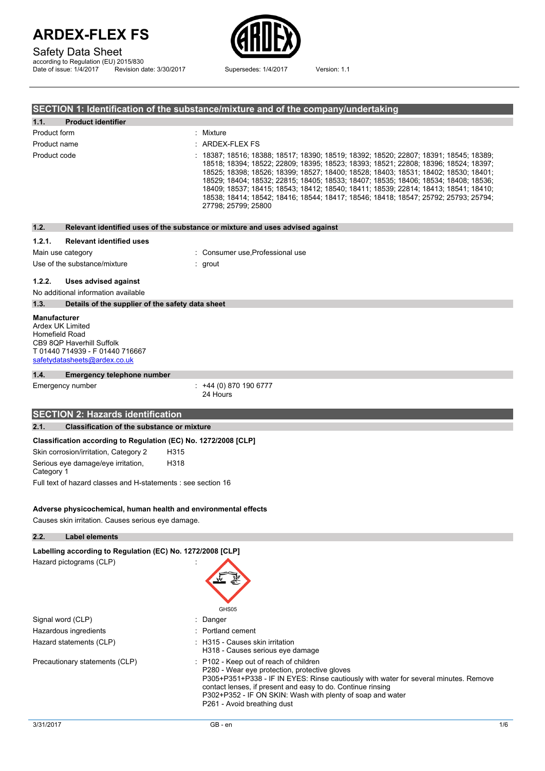## Safety Data Sheet

according to Regulation (EU) 2015/830 Date of issue: 1/4/2017 Revision date: 3/30/2017 Supersedes: 1/4/2017 Version: 1.1



### **SECTION 1: Identification of the substance/mixture and of the company/undertaking**

| 1.1.                                                      | <b>Product identifier</b>                                                                                             |                                                                                                                                                                                                                                                                                                                                                                                                                                                                                                                                                               |
|-----------------------------------------------------------|-----------------------------------------------------------------------------------------------------------------------|---------------------------------------------------------------------------------------------------------------------------------------------------------------------------------------------------------------------------------------------------------------------------------------------------------------------------------------------------------------------------------------------------------------------------------------------------------------------------------------------------------------------------------------------------------------|
| Product form                                              |                                                                                                                       | Mixture                                                                                                                                                                                                                                                                                                                                                                                                                                                                                                                                                       |
| Product name                                              |                                                                                                                       | ARDEX-FLEX FS                                                                                                                                                                                                                                                                                                                                                                                                                                                                                                                                                 |
| Product code                                              |                                                                                                                       | 18387; 18516; 18388; 18517; 18390; 18519; 18392; 18520; 22807; 18391; 18545; 18389;<br>18518; 18394; 18522; 22809; 18395; 18523; 18393; 18521; 22808; 18396; 18524; 18397;<br>18525; 18398; 18526; 18399; 18527; 18400; 18528; 18403; 18531; 18402; 18530; 18401;<br>18529; 18404; 18532; 22815; 18405; 18533; 18407; 18535; 18406; 18534; 18408; 18536;<br>18409; 18537; 18415; 18543; 18412; 18540; 18411; 18539; 22814; 18413; 18541; 18410;<br>18538; 18414; 18542; 18416; 18544; 18417; 18546; 18418; 18547; 25792; 25793; 25794;<br>27798; 25799; 25800 |
| 1.2.                                                      |                                                                                                                       | Relevant identified uses of the substance or mixture and uses advised against                                                                                                                                                                                                                                                                                                                                                                                                                                                                                 |
| 1.2.1.                                                    | <b>Relevant identified uses</b>                                                                                       |                                                                                                                                                                                                                                                                                                                                                                                                                                                                                                                                                               |
| Main use category                                         |                                                                                                                       | Consumer use, Professional use                                                                                                                                                                                                                                                                                                                                                                                                                                                                                                                                |
|                                                           | Use of the substance/mixture                                                                                          | $:$ grout                                                                                                                                                                                                                                                                                                                                                                                                                                                                                                                                                     |
| 1.2.2.                                                    | <b>Uses advised against</b><br>No additional information available                                                    |                                                                                                                                                                                                                                                                                                                                                                                                                                                                                                                                                               |
| 1.3.                                                      | Details of the supplier of the safety data sheet                                                                      |                                                                                                                                                                                                                                                                                                                                                                                                                                                                                                                                                               |
| <b>Manufacturer</b><br>Ardex UK Limited<br>Homefield Road | CB9 8QP Haverhill Suffolk<br>T 01440 714939 - F 01440 716667<br>safetydatasheets@ardex.co.uk                          |                                                                                                                                                                                                                                                                                                                                                                                                                                                                                                                                                               |
| 1.4.                                                      | <b>Emergency telephone number</b>                                                                                     |                                                                                                                                                                                                                                                                                                                                                                                                                                                                                                                                                               |
|                                                           | Emergency number                                                                                                      | $: +44(0)8701906777$<br>24 Hours                                                                                                                                                                                                                                                                                                                                                                                                                                                                                                                              |
|                                                           | <b>SECTION 2: Hazards identification</b>                                                                              |                                                                                                                                                                                                                                                                                                                                                                                                                                                                                                                                                               |
| 2.1.                                                      | <b>Classification of the substance or mixture</b>                                                                     |                                                                                                                                                                                                                                                                                                                                                                                                                                                                                                                                                               |
|                                                           | Classification according to Regulation (EC) No. 1272/2008 [CLP]                                                       |                                                                                                                                                                                                                                                                                                                                                                                                                                                                                                                                                               |
|                                                           | Skin corrosion/irritation, Category 2<br>H315                                                                         |                                                                                                                                                                                                                                                                                                                                                                                                                                                                                                                                                               |
| Category 1                                                | H318<br>Serious eye damage/eye irritation,                                                                            |                                                                                                                                                                                                                                                                                                                                                                                                                                                                                                                                                               |
|                                                           | Full text of hazard classes and H-statements : see section 16                                                         |                                                                                                                                                                                                                                                                                                                                                                                                                                                                                                                                                               |
|                                                           | Adverse physicochemical, human health and environmental effects<br>Causes skin irritation. Causes serious eye damage. |                                                                                                                                                                                                                                                                                                                                                                                                                                                                                                                                                               |
| 2.2.                                                      | <b>Label elements</b>                                                                                                 |                                                                                                                                                                                                                                                                                                                                                                                                                                                                                                                                                               |
|                                                           | Labelling according to Regulation (EC) No. 1272/2008 [CLP]<br>Hazard pictograms (CLP)                                 | GHS05                                                                                                                                                                                                                                                                                                                                                                                                                                                                                                                                                         |
| Signal word (CLP)                                         |                                                                                                                       | Danger                                                                                                                                                                                                                                                                                                                                                                                                                                                                                                                                                        |
|                                                           | Hazardous ingredients                                                                                                 | Portland cement                                                                                                                                                                                                                                                                                                                                                                                                                                                                                                                                               |
|                                                           | Hazard statements (CLP)                                                                                               | H315 - Causes skin irritation<br>H318 - Causes serious eye damage                                                                                                                                                                                                                                                                                                                                                                                                                                                                                             |
|                                                           | Precautionary statements (CLP)                                                                                        | : P102 - Keep out of reach of children<br>P280 - Wear eye protection, protective gloves<br>P305+P351+P338 - IF IN EYES: Rinse cautiously with water for several minutes. Remove<br>contact lenses, if present and easy to do. Continue rinsing                                                                                                                                                                                                                                                                                                                |

P261 - Avoid breathing dust

P302+P352 - IF ON SKIN: Wash with plenty of soap and water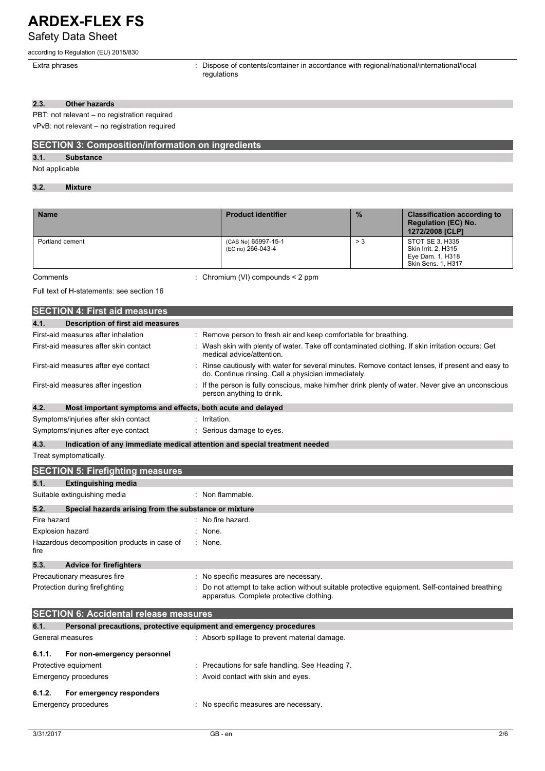## **ARDEX-FLEX FS** Safety Data Sheet

### according to Regulation (EU) 2015/830

Extra phrases **in the set of contents** of contents/container in accordance with regional/national/international/local regulations

### **2.3. Other hazards**

PBT: not relevant – no registration required

vPvB: not relevant – no registration required

### **SECTION 3: Composition/information on ingredients**

**3.1. Substance**

### Not applicable

### **3.2. Mixture**

| <b>Name</b>     | <b>Product identifier</b>                | $\frac{9}{6}$ | <b>Classification according to</b><br><b>Regulation (EC) No.</b><br>1272/2008 [CLP] |
|-----------------|------------------------------------------|---------------|-------------------------------------------------------------------------------------|
| Portland cement | (CAS No) 65997-15-1<br>(EC no) 266-043-4 | > 3           | STOT SE 3, H335<br>Skin Irrit. 2, H315<br>Eye Dam. 1, H318<br>Skin Sens. 1, H317    |

Comments : Chromium (VI) compounds < 2 ppm

Full text of H-statements: see section 16

| <b>SECTION 4: First aid measures</b>                                        |                                                                                                                                                       |
|-----------------------------------------------------------------------------|-------------------------------------------------------------------------------------------------------------------------------------------------------|
| 4.1.<br><b>Description of first aid measures</b>                            |                                                                                                                                                       |
| First-aid measures after inhalation                                         | : Remove person to fresh air and keep comfortable for breathing.                                                                                      |
| First-aid measures after skin contact                                       | Wash skin with plenty of water. Take off contaminated clothing. If skin irritation occurs: Get<br>medical advice/attention.                           |
| First-aid measures after eye contact                                        | Rinse cautiously with water for several minutes. Remove contact lenses, if present and easy to<br>do. Continue rinsing. Call a physician immediately. |
| First-aid measures after ingestion                                          | If the person is fully conscious, make him/her drink plenty of water. Never give an unconscious<br>person anything to drink.                          |
| Most important symptoms and effects, both acute and delayed<br>4.2.         |                                                                                                                                                       |
| Symptoms/injuries after skin contact                                        | Irritation.                                                                                                                                           |
| Symptoms/injuries after eye contact                                         | Serious damage to eyes.                                                                                                                               |
| 4.3.<br>Treat symptomatically.                                              | Indication of any immediate medical attention and special treatment needed                                                                            |
| <b>SECTION 5: Firefighting measures</b>                                     |                                                                                                                                                       |
| 5.1.<br><b>Extinguishing media</b>                                          |                                                                                                                                                       |
| Suitable extinguishing media                                                | : Non flammable.                                                                                                                                      |
| 5.2.<br>Special hazards arising from the substance or mixture               |                                                                                                                                                       |
| Fire hazard                                                                 | : No fire hazard.                                                                                                                                     |
| <b>Explosion hazard</b>                                                     | None.                                                                                                                                                 |
| Hazardous decomposition products in case of<br>fire                         | : None.                                                                                                                                               |
| 5.3.<br><b>Advice for firefighters</b>                                      |                                                                                                                                                       |
| Precautionary measures fire                                                 | No specific measures are necessary.                                                                                                                   |
| Protection during firefighting                                              | Do not attempt to take action without suitable protective equipment. Self-contained breathing<br>apparatus. Complete protective clothing.             |
| <b>SECTION 6: Accidental release measures</b>                               |                                                                                                                                                       |
| 6.1.<br>Personal precautions, protective equipment and emergency procedures |                                                                                                                                                       |
| General measures                                                            | : Absorb spillage to prevent material damage.                                                                                                         |
| 6.1.1.<br>For non-emergency personnel                                       |                                                                                                                                                       |
| Protective equipment                                                        | Precautions for safe handling. See Heading 7.                                                                                                         |
| <b>Emergency procedures</b>                                                 | Avoid contact with skin and eyes.                                                                                                                     |
| 6.1.2.<br>For emergency responders                                          |                                                                                                                                                       |
| <b>Emergency procedures</b>                                                 | : No specific measures are necessary.                                                                                                                 |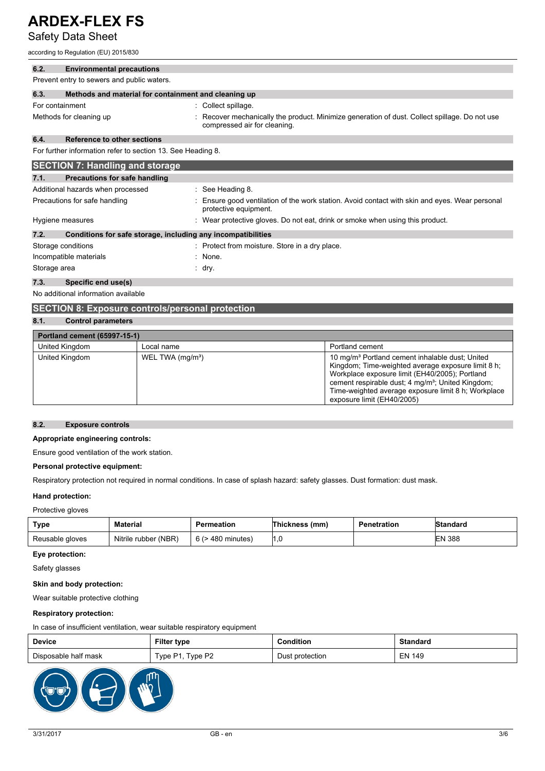Safety Data Sheet

according to Regulation (EU) 2015/830

| 6.2.            | <b>Environmental precautions</b>                             |                                                                                                                             |
|-----------------|--------------------------------------------------------------|-----------------------------------------------------------------------------------------------------------------------------|
|                 | Prevent entry to sewers and public waters.                   |                                                                                                                             |
| 6.3.            | Methods and material for containment and cleaning up         |                                                                                                                             |
| For containment |                                                              | Collect spillage.                                                                                                           |
|                 | Methods for cleaning up                                      | Recover mechanically the product. Minimize generation of dust. Collect spillage. Do not use<br>compressed air for cleaning. |
| 6.4.            | <b>Reference to other sections</b>                           |                                                                                                                             |
|                 | For further information refer to section 13. See Heading 8.  |                                                                                                                             |
|                 | <b>SECTION 7: Handling and storage</b>                       |                                                                                                                             |
| 7.1.            | Precautions for safe handling                                |                                                                                                                             |
|                 | Additional hazards when processed                            | $\therefore$ See Heading 8.                                                                                                 |
|                 | Precautions for safe handling                                | Ensure good ventilation of the work station. Avoid contact with skin and eyes. Wear personal<br>protective equipment.       |
|                 | Hygiene measures                                             | Wear protective gloves. Do not eat, drink or smoke when using this product.                                                 |
| 7.2.            | Conditions for safe storage, including any incompatibilities |                                                                                                                             |
|                 | Storage conditions                                           | : Protect from moisture. Store in a dry place.                                                                              |
|                 | Incompatible materials                                       | : None.                                                                                                                     |
| Storage area    |                                                              | : dry.                                                                                                                      |

### **7.3. Specific end use(s)**

No additional information available

### **SECTION 8: Exposure controls/personal protection**

### **8.1. Control parameters**

| <b>Portland cement (65997-15-1)</b> |                              |                                                                                                                                                                                                                                                                                                                           |  |
|-------------------------------------|------------------------------|---------------------------------------------------------------------------------------------------------------------------------------------------------------------------------------------------------------------------------------------------------------------------------------------------------------------------|--|
| United Kingdom                      | Local name                   | Portland cement                                                                                                                                                                                                                                                                                                           |  |
| United Kingdom                      | WEL TWA (mg/m <sup>3</sup> ) | 10 mg/m <sup>3</sup> Portland cement inhalable dust; United<br>Kingdom; Time-weighted average exposure limit 8 h;<br>Workplace exposure limit (EH40/2005); Portland<br>cement respirable dust; 4 mg/m <sup>3</sup> ; United Kingdom;<br>Time-weighted average exposure limit 8 h; Workplace<br>exposure limit (EH40/2005) |  |

#### **8.2. Exposure controls**

### **Appropriate engineering controls:**

Ensure good ventilation of the work station.

### **Personal protective equipment:**

Respiratory protection not required in normal conditions. In case of splash hazard: safety glasses. Dust formation: dust mask.

### **Hand protection:**

### Protective gloves

| <b>Type</b>     | <b>Material</b>      | Permeation        | Thickness (mm) | <b>Penetration</b> | Standard      |
|-----------------|----------------------|-------------------|----------------|--------------------|---------------|
| Reusable gloves | Nitrile rubber (NBR) | 6 (> 480 minutes) |                |                    | <b>EN 388</b> |

### **Eye protection:**

Safety glasses

### **Skin and body protection:**

Wear suitable protective clothing

### **Respiratory protection:**

In case of insufficient ventilation, wear suitable respiratory equipment

| <b>Device</b>        | Filter type                        | Condition       | <b>Standard</b> |
|----------------------|------------------------------------|-----------------|-----------------|
| Disposable half mask | Type P <sub>2</sub><br>Type $P1$ , | Dust protection | <b>EN 149</b>   |

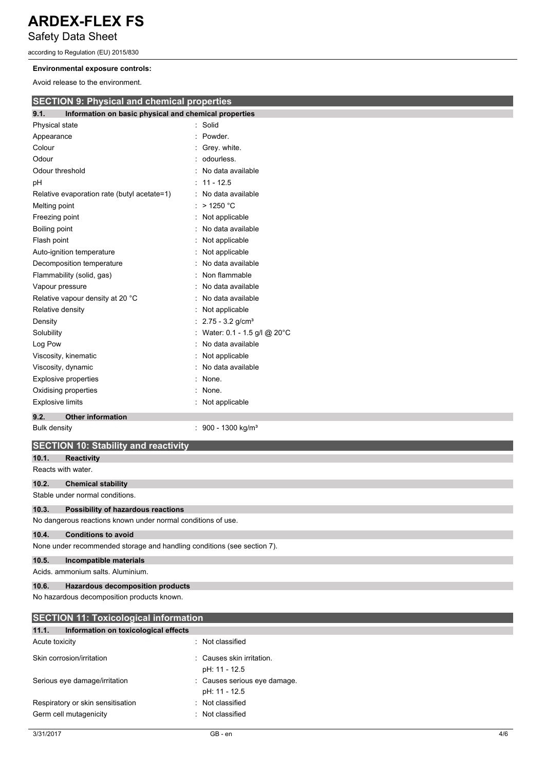Safety Data Sheet

according to Regulation (EU) 2015/830

### **Environmental exposure controls:**

Avoid release to the environment.

| AVOID TEIERSE TO THE EITVILDITIERT.                           |                                                                         |  |  |  |
|---------------------------------------------------------------|-------------------------------------------------------------------------|--|--|--|
| <b>SECTION 9: Physical and chemical properties</b>            |                                                                         |  |  |  |
| Information on basic physical and chemical properties<br>9.1. |                                                                         |  |  |  |
| Physical state                                                | Solid                                                                   |  |  |  |
| Appearance                                                    | Powder.                                                                 |  |  |  |
| Colour                                                        | Grey white.                                                             |  |  |  |
| Odour                                                         | odourless.                                                              |  |  |  |
| Odour threshold                                               | No data available                                                       |  |  |  |
| рH                                                            | $11 - 12.5$                                                             |  |  |  |
| Relative evaporation rate (butyl acetate=1)                   | No data available                                                       |  |  |  |
| Melting point                                                 | $>$ 1250 °C                                                             |  |  |  |
| Freezing point                                                | Not applicable                                                          |  |  |  |
| Boiling point                                                 | No data available                                                       |  |  |  |
| Flash point                                                   | Not applicable                                                          |  |  |  |
| Auto-ignition temperature                                     | Not applicable                                                          |  |  |  |
| Decomposition temperature                                     | No data available                                                       |  |  |  |
| Flammability (solid, gas)                                     | Non flammable                                                           |  |  |  |
| Vapour pressure                                               | No data available                                                       |  |  |  |
| Relative vapour density at 20 °C                              | No data available                                                       |  |  |  |
| Relative density                                              | Not applicable                                                          |  |  |  |
| Density                                                       | $2.75 - 3.2$ g/cm <sup>3</sup>                                          |  |  |  |
| Solubility                                                    | Water: 0.1 - 1.5 g/l @ 20°C                                             |  |  |  |
| Log Pow                                                       | No data available                                                       |  |  |  |
| Viscosity, kinematic                                          | Not applicable                                                          |  |  |  |
| Viscosity, dynamic                                            | No data available                                                       |  |  |  |
| <b>Explosive properties</b>                                   | None.                                                                   |  |  |  |
| Oxidising properties                                          | None.                                                                   |  |  |  |
| <b>Explosive limits</b>                                       | Not applicable                                                          |  |  |  |
| 9.2.<br><b>Other information</b>                              |                                                                         |  |  |  |
| <b>Bulk density</b>                                           | : 900 - 1300 kg/m <sup>3</sup>                                          |  |  |  |
| <b>SECTION 10: Stability and reactivity</b>                   |                                                                         |  |  |  |
| 10.1.<br><b>Reactivity</b>                                    |                                                                         |  |  |  |
| Reacts with water.                                            |                                                                         |  |  |  |
| 10.2.<br><b>Chemical stability</b>                            |                                                                         |  |  |  |
| Stable under normal conditions.                               |                                                                         |  |  |  |
| 10.3.<br>Possibility of hazardous reactions                   |                                                                         |  |  |  |
| No dangerous reactions known under normal conditions of use.  |                                                                         |  |  |  |
| 10.4.<br><b>Conditions to avoid</b>                           |                                                                         |  |  |  |
|                                                               | None under recommended storage and handling conditions (see section 7). |  |  |  |
| 10.5.<br>Incompatible materials                               |                                                                         |  |  |  |
| Acids, ammonium salts, Aluminium.                             |                                                                         |  |  |  |
| 10.6.<br>Hazardous decomposition products                     |                                                                         |  |  |  |
| No hazardous decomposition products known.                    |                                                                         |  |  |  |

| <b>SECTION 11: Toxicological information</b>  |                                               |  |  |
|-----------------------------------------------|-----------------------------------------------|--|--|
| 11.1.<br>Information on toxicological effects |                                               |  |  |
| Acute toxicity                                | : Not classified                              |  |  |
| Skin corrosion/irritation                     | : Causes skin irritation.<br>pH: 11 - 12.5    |  |  |
| Serious eye damage/irritation                 | : Causes serious eye damage.<br>pH: 11 - 12.5 |  |  |
| Respiratory or skin sensitisation             | : Not classified                              |  |  |
| Germ cell mutagenicity                        | Not classified                                |  |  |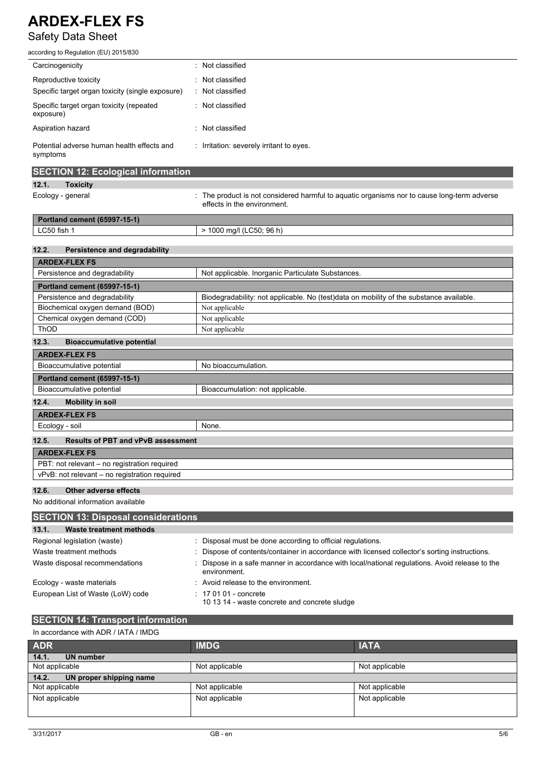# Safety Data Sheet

| according to Regulation (EU) 2015/830                  |                                                                                                                            |
|--------------------------------------------------------|----------------------------------------------------------------------------------------------------------------------------|
| Carcinogenicity                                        | : Not classified                                                                                                           |
| Reproductive toxicity                                  | Not classified                                                                                                             |
| Specific target organ toxicity (single exposure)       | : Not classified                                                                                                           |
| Specific target organ toxicity (repeated<br>exposure)  | : Not classified                                                                                                           |
| Aspiration hazard                                      | : Not classified                                                                                                           |
| Potential adverse human health effects and<br>symptoms | : Irritation: severely irritant to eyes.                                                                                   |
| <b>SECTION 12: Ecological information</b>              |                                                                                                                            |
| 12.1.<br><b>Toxicity</b>                               |                                                                                                                            |
| Ecology - general                                      | : The product is not considered harmful to aquatic organisms nor to cause long-term adverse<br>effects in the environment. |
| Portland cement (65997-15-1)                           |                                                                                                                            |
| LC50 fish 1                                            | > 1000 mg/l (LC50; 96 h)                                                                                                   |
| 12.2.<br><b>Persistence and degradability</b>          |                                                                                                                            |
| <b>ARDEX-FLEX FS</b>                                   |                                                                                                                            |
| Persistence and degradability                          | Not applicable. Inorganic Particulate Substances.                                                                          |
| Portland cement (65997-15-1)                           |                                                                                                                            |
| Persistence and degradability                          | Biodegradability: not applicable. No (test)data on mobility of the substance available.                                    |
| Biochemical oxygen demand (BOD)                        | Not applicable                                                                                                             |
| Chemical oxygen demand (COD)                           | Not applicable                                                                                                             |
| ThOD                                                   | Not applicable                                                                                                             |
| 12.3.<br><b>Bioaccumulative potential</b>              |                                                                                                                            |
| <b>ARDEX-FLEX FS</b>                                   |                                                                                                                            |
| Bioaccumulative potential                              | No bioaccumulation.                                                                                                        |
| Portland cement (65997-15-1)                           |                                                                                                                            |
| Bioaccumulative potential                              | Bioaccumulation: not applicable.                                                                                           |
| 12.4.<br><b>Mobility in soil</b>                       |                                                                                                                            |
| <b>ARDEX-FLEX FS</b>                                   |                                                                                                                            |
| Ecology - soil                                         | None.                                                                                                                      |
| 12.5.<br><b>Results of PBT and vPvB assessment</b>     |                                                                                                                            |
| <b>ARDEX-FLEX FS</b>                                   |                                                                                                                            |
| PBT: not relevant - no registration required           |                                                                                                                            |
| vPvB: not relevant - no registration required          |                                                                                                                            |
| 12.6.<br><b>Other adverse effects</b>                  |                                                                                                                            |
| No additional information available                    |                                                                                                                            |
| <b>SECTION 13: Disposal considerations</b>             |                                                                                                                            |
| 13.1.<br><b>Waste treatment methods</b>                |                                                                                                                            |
| Pogional Iogialation (wasta)                           | Dieposed must be depe assording to official requisitions                                                                   |

| .                                 |                                                                                                                |
|-----------------------------------|----------------------------------------------------------------------------------------------------------------|
| Regional legislation (waste)      | : Disposal must be done according to official regulations.                                                     |
| Waste treatment methods           | : Dispose of contents/container in accordance with licensed collector's sorting instructions.                  |
| Waste disposal recommendations    | : Dispose in a safe manner in accordance with local/national regulations. Avoid release to the<br>environment. |
| Ecology - waste materials         | : Avoid release to the environment.                                                                            |
| European List of Waste (LoW) code | $\div$ 17 01 01 - concrete<br>10 13 14 - waste concrete and concrete sludge                                    |

### **SECTION 14: Transport information** In accordance with ADR / IATA / IMDG

### **ADR IMDG IATA 14.1. UN number** Not applicable Not applicable **14.2. UN proper shipping name** Not applicable  $\vert$  Not applicable  $\vert$  Not applicable  $\vert$  Not applicable Not applicable Not applicable Not applicable Not applicable Not applicable